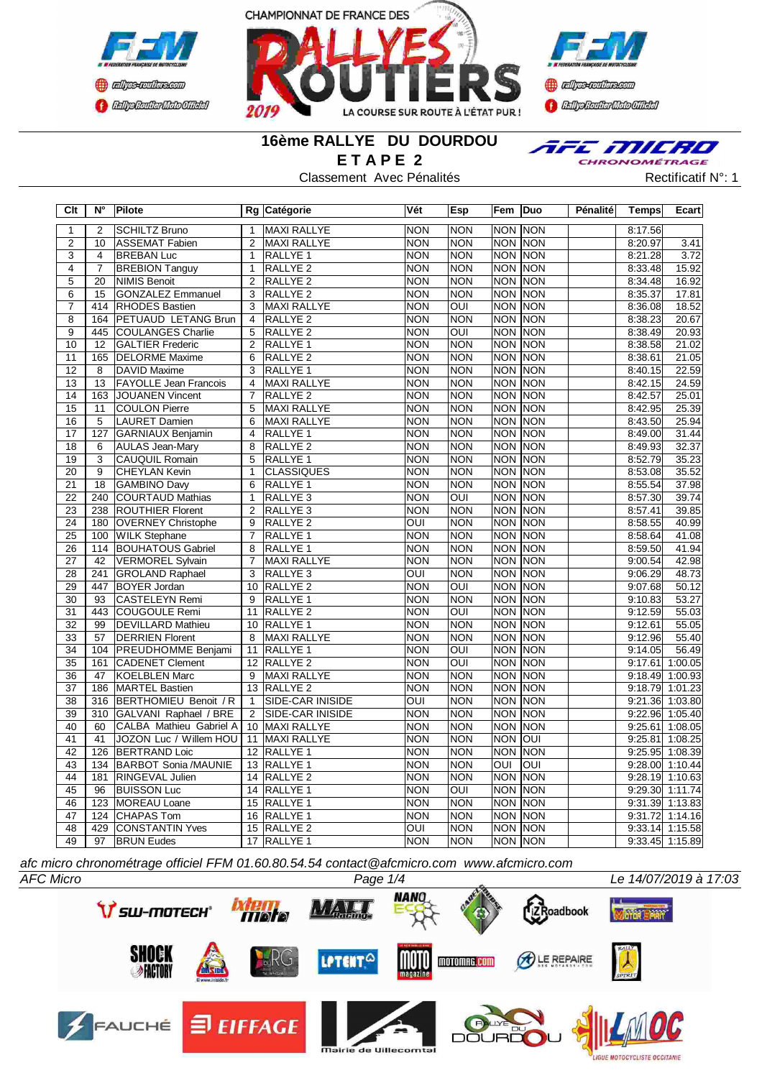





### **16ème RALLYE DU DOURDOU E T A P E 2**

Classement Avec Pénalités Rectificatif N°: 1



| Clt                   | $N^{\circ}$      | Pilote                                              |                         | Rg Catégorie                       | Vét                      | <b>Esp</b>               | Fem Duo                                   |                 | Pénalité | <b>Temps</b> | <b>Ecart</b>               |
|-----------------------|------------------|-----------------------------------------------------|-------------------------|------------------------------------|--------------------------|--------------------------|-------------------------------------------|-----------------|----------|--------------|----------------------------|
| $\mathbf{1}$          | 2                | <b>SCHILTZ Bruno</b>                                | $\mathbf{1}$            | MAXI RALLYE                        | <b>NON</b>               | <b>NON</b>               | NON NON                                   |                 |          | 8:17.56      |                            |
| $\overline{2}$        | $\overline{10}$  | <b>ASSEMAT Fabien</b>                               | $\overline{2}$          | <b>MAXI RALLYE</b>                 | <b>NON</b>               | <b>NON</b>               | <b>NON NON</b>                            |                 |          | 8:20.97      | 3.41                       |
| 3                     | $\overline{4}$   | <b>BREBAN Luc</b>                                   | $\mathbf{1}$            | RALLYE 1                           | <b>NON</b>               | <b>NON</b>               | <b>NON NON</b>                            |                 |          | 8:21.28      | 3.72                       |
| $\overline{4}$        | $\overline{7}$   | <b>BREBION Tanguy</b>                               | $\mathbf{1}$            | RALLYE <sub>2</sub>                | <b>NON</b>               | <b>NON</b>               | NON NON                                   |                 |          | 8:33.48      | 15.92                      |
| 5                     | 20               | <b>NIMIS Benoit</b>                                 | $\overline{\mathbf{c}}$ | RALLYE <sub>2</sub>                | <b>NON</b>               | <b>NON</b>               | NON NON                                   |                 |          | 8:34.48      | 16.92                      |
| 6                     | 15               | <b>GONZALEZ Emmanuel</b>                            | 3                       | RALLYE <sub>2</sub>                | <b>NON</b>               | <b>NON</b>               | NON NON                                   |                 |          | 8:35.37      | 17.81                      |
| 7                     | 414              | <b>RHODES</b> Bastien                               | 3                       | <b>MAXI RALLYE</b>                 | <b>NON</b>               | $\overline{\text{C}}$    | NON NON                                   |                 |          | 8:36.08      | 18.52                      |
| $\overline{8}$        | 164              | <b>PETUAUD LETANG Brun</b>                          | $\overline{4}$          | RALLYE <sub>2</sub>                | <b>NON</b>               | <b>NON</b>               |                                           | <b>NON NON</b>  |          | 8:38.23      | 20.67                      |
| $\overline{9}$        |                  | 445 COULANGES Charlie                               | 5                       | RALLYE <sub>2</sub>                | <b>NON</b>               | OUI                      | NON NON                                   |                 |          | 8:38.49      | 20.93                      |
| $\overline{10}$       | $\overline{12}$  | <b>GALTIER Frederic</b>                             | $\overline{2}$          | RALLYE <sub>1</sub>                | <b>NON</b>               | <b>NON</b>               | <b>NON NON</b>                            |                 |          | 8:38.58      | 21.02                      |
| $\overline{11}$       | 165              | <b>DELORME</b> Maxime                               | $\overline{6}$          | <b>RALLYE 2</b>                    | <b>NON</b>               | <b>NON</b>               | NON NON                                   |                 |          | 8:38.61      | 21.05                      |
| $\overline{12}$       | $\overline{8}$   | <b>DAVID Maxime</b>                                 | $\overline{3}$          | RALLYE <sub>1</sub>                | $\overline{NON}$         | <b>NON</b>               | <b>NON NON</b>                            |                 |          | 8:40.15      | 22.59                      |
| 13                    | 13               | <b>FAYOLLE Jean Francois</b>                        | $\overline{4}$          | <b>MAXI RALLYE</b>                 | <b>NON</b>               | <b>NON</b>               |                                           | NON NON         |          | 8:42.15      | 24.59                      |
| 14                    | 163              | <b>JOUANEN Vincent</b>                              | $\overline{7}$          | RALLYE <sub>2</sub>                | <b>NON</b>               | <b>NON</b>               |                                           | <b>NON NON</b>  |          | 8:42.57      | 25.01                      |
| $\overline{15}$       | 11               | COULON Pierre                                       | $\overline{5}$          | <b>MAXI RALLYE</b>                 | <b>NON</b>               | <b>NON</b>               | NON NON                                   |                 |          | 8:42.95      | 25.39                      |
| 16                    | 5                | <b>LAURET Damien</b>                                | $6\overline{6}$         | <b>MAXI RALLYE</b>                 | <b>NON</b>               | <b>NON</b>               | NON NON                                   |                 |          | 8:43.50      | 25.94                      |
| $\overline{17}$       | 127              | GARNIAUX Benjamin                                   | $\overline{4}$          | RALLYE <sub>1</sub>                | <b>NON</b>               | <b>NON</b>               | NON NON                                   |                 |          | 8:49.00      | 31.44                      |
| $\overline{18}$       | 6                | <b>AULAS Jean-Mary</b>                              | $\overline{8}$          | RALLYE <sub>2</sub>                | <b>NON</b>               | <b>NON</b>               | NON NON                                   |                 |          | 8:49.93      | 32.37                      |
| $\overline{19}$       | 3                | <b>CAUQUIL Romain</b>                               | 5                       | RALLYE <sub>1</sub>                | <b>NON</b>               | <b>NON</b>               | NON NON                                   |                 |          | 8:52.79      | 35.23                      |
| $\overline{20}$       | $\overline{9}$   | <b>CHEYLAN Kevin</b>                                | $\overline{1}$          | <b>CLASSIQUES</b>                  | <b>NON</b>               | <b>NON</b>               | <b>NON NON</b>                            |                 |          | 8:53.08      | 35.52                      |
| $\overline{21}$       | $\overline{18}$  | <b>GAMBINO Davy</b>                                 | $\overline{6}$          | <b>RALLYE 1</b>                    | <b>NON</b>               | <b>NON</b>               | <b>NON NON</b>                            |                 |          | 8:55.54      | 37.98                      |
| $\overline{22}$       | $\overline{240}$ | COURTAUD Mathias                                    | $\mathbf{1}$            | RALLYE <sub>3</sub>                | <b>NON</b>               | $\overline{\text{on}}$   | <b>NON NON</b>                            |                 |          | 8:57.30      | 39.74                      |
| 23                    | 238              | <b>ROUTHIER Florent</b>                             | $\overline{2}$          | RALLYE <sub>3</sub>                | <b>NON</b>               | <b>NON</b>               | <b>NON NON</b>                            |                 |          | 8:57.41      | 39.85                      |
| $\overline{24}$       |                  | 180 OVERNEY Christophe                              | $\overline{9}$          | RALLYE <sub>2</sub>                | OUI                      | <b>NON</b>               | <b>NON NON</b>                            |                 |          | 8:58.55      | 40.99                      |
| $\overline{25}$       | 100              | <b>WILK Stephane</b>                                | $\overline{7}$          | RALLYE <sub>1</sub>                | <b>NON</b>               | <b>NON</b>               |                                           | NON NON         |          | 8:58.64      | 41.08                      |
| 26                    | 114              | <b>BOUHATOUS Gabriel</b>                            | $\overline{8}$          | RALLYE <sub>1</sub>                | <b>NON</b>               | <b>NON</b>               |                                           | <b>NON NON</b>  |          | 8:59.50      | 41.94                      |
| $\overline{27}$       | 42               | <b>VERMOREL Sylvain</b>                             | $\overline{7}$          | <b>MAXI RALLYE</b>                 | <b>NON</b>               | <b>NON</b>               |                                           | <b>NON NON</b>  |          | 9:00.54      | 42.98                      |
| 28                    | 241              | <b>GROLAND Raphael</b>                              | 3                       | RALLYE <sub>3</sub>                | $\overline{\text{OUI}}$  | <b>NON</b>               |                                           | <b>NON NON</b>  |          | 9:06.29      | 48.73                      |
| 29                    | 447              | <b>BOYER Jordan</b>                                 | 10                      | <b>RALLYE 2</b>                    | <b>NON</b>               | $\overline{O}$           |                                           | <b>NON INON</b> |          | 9:07.68      | 50.12                      |
| $\overline{30}$       | $\overline{93}$  | CASTELEYN Remi                                      | $\overline{9}$          | RALLYE <sub>1</sub>                | <b>NON</b>               | <b>NON</b>               | <b>NON NON</b>                            |                 |          | 9:10.83      | 53.27                      |
| $\overline{31}$       | 443              | COUGOULE Remi                                       | 11                      | RALLYE <sub>2</sub>                | <b>NON</b>               | $\overline{O}$           | <b>NON NON</b>                            |                 |          | 9:12.59      | 55.03                      |
| 32                    | 99               | <b>DEVILLARD Mathieu</b>                            | 10                      | RALLYE <sub>1</sub>                | <b>NON</b>               | <b>NON</b>               | <b>NON NON</b>                            |                 |          | 9:12.61      | 55.05                      |
| 33                    | 57               | <b>DERRIEN Florent</b>                              | 8                       | MAXI RALLYE                        | <b>NON</b>               | <b>NON</b>               | NON NON                                   |                 |          | 9:12.96      | 55.40                      |
| $\overline{34}$       |                  | 104 PREUDHOMME Benjami                              | 11                      |                                    | <b>NON</b>               | $\overline{\text{OUI}}$  | NON NON                                   |                 |          | 9:14.05      | 56.49                      |
| 35                    | 161              | <b>CADENET Clement</b>                              |                         | RALLYE <sub>1</sub><br>12 RALLYE 2 | <b>NON</b>               | OUI                      | <b>NON NON</b>                            |                 |          | 9:17.61      | 1:00.05                    |
| 36                    | 47               | KOELBLEN Marc                                       | 9                       | <b>MAXI RALLYE</b>                 | <b>NON</b>               | <b>NON</b>               | NON NON                                   |                 |          | 9:18.49      | 1:00.93                    |
| $\overline{37}$       |                  | 186 MARTEL Bastien                                  |                         | 13 RALLYE 2                        | <b>NON</b>               | <b>NON</b>               | <b>NON NON</b>                            |                 |          | 9:18.79      | 1:01.23                    |
| $\overline{38}$       |                  | 316 BERTHOMIEU Benoit / R                           | $\mathbf{1}$            | SIDE-CAR INISIDE                   | $\overline{O}$           | <b>NON</b>               | NON NON                                   |                 |          |              | 9:21.36 1:03.80            |
| 39                    |                  | 310 GALVANI Raphael / BRE                           | $\overline{2}$          | <b>SIDE-CAR INISIDE</b>            | <b>NON</b>               | <b>NON</b>               | NON NON                                   |                 |          |              | 9:22.96 1:05.40            |
| $\overline{40}$       | 60               | CALBA Mathieu Gabriel A                             | $\overline{10}$         | <b>MAXI RALLYE</b>                 | <b>NON</b>               | <b>NON</b>               | NON NON                                   |                 |          |              | $9:25.61$ 1:08.05          |
| 41                    | 41               | JOZON Luc / Willem HOU                              | $\overline{11}$         | <b>MAXI RALLYE</b>                 | <b>NON</b>               | <b>NON</b>               | NON OUI                                   |                 |          | 9:25.81      | 1:08.25                    |
|                       |                  |                                                     |                         |                                    |                          |                          |                                           |                 |          |              |                            |
| 42<br>$\overline{43}$ | 126<br>134       | <b>BERTRAND Loic</b><br><b>BARBOT Sonia /MAUNIE</b> | 12 <sup>°</sup>         | RALLYE 1                           | <b>NON</b><br><b>NON</b> | <b>NON</b><br><b>NON</b> | <b>NON NON</b><br>$\overline{\text{OUI}}$ | <b>OUI</b>      |          | 9:28.00      | 9:25.95 1:08.39<br>1:10.44 |
|                       |                  |                                                     |                         | 13 RALLYE 1                        |                          |                          |                                           |                 |          |              |                            |
| 44                    | 181              | <b>RINGEVAL Julien</b>                              |                         | 14 RALLYE 2                        | <b>NON</b>               | <b>NON</b>               | NON NON                                   |                 |          |              | $9:28.19$ 1:10.63          |
| 45                    | 96               | <b>BUISSON Luc</b>                                  |                         | 14 RALLYE 1                        | <b>NON</b>               | OUI                      | NON NON                                   |                 |          | 9:29.30      | 1:11.74                    |
| 46                    | 123              | MOREAU Loane                                        | $\overline{15}$         | <b>RALLYE 1</b>                    | <b>NON</b>               | <b>NON</b>               |                                           | <b>NON NON</b>  |          |              | 9:31.39 1:13.83            |
| 47                    | 124              | CHAPAS Tom                                          |                         | 16 RALLYE 1                        | <b>NON</b>               | <b>NON</b>               |                                           | <b>NON NON</b>  |          | 9:31.72      | 1:14.16                    |
| $\overline{48}$       | 429              | <b>CONSTANTIN Yves</b>                              |                         | 15 RALLYE 2                        | $\overline{OUI}$         | <b>NON</b>               | NON NON                                   |                 |          |              | $9:33.14$ 1:15.58          |
| 49                    | $\overline{97}$  | <b>BRUN Eudes</b>                                   |                         | 17 RALLYE 1                        | NON                      | <b>NON</b>               | <b>NON NON</b>                            |                 |          |              | $9:33.45$ 1:15.89          |

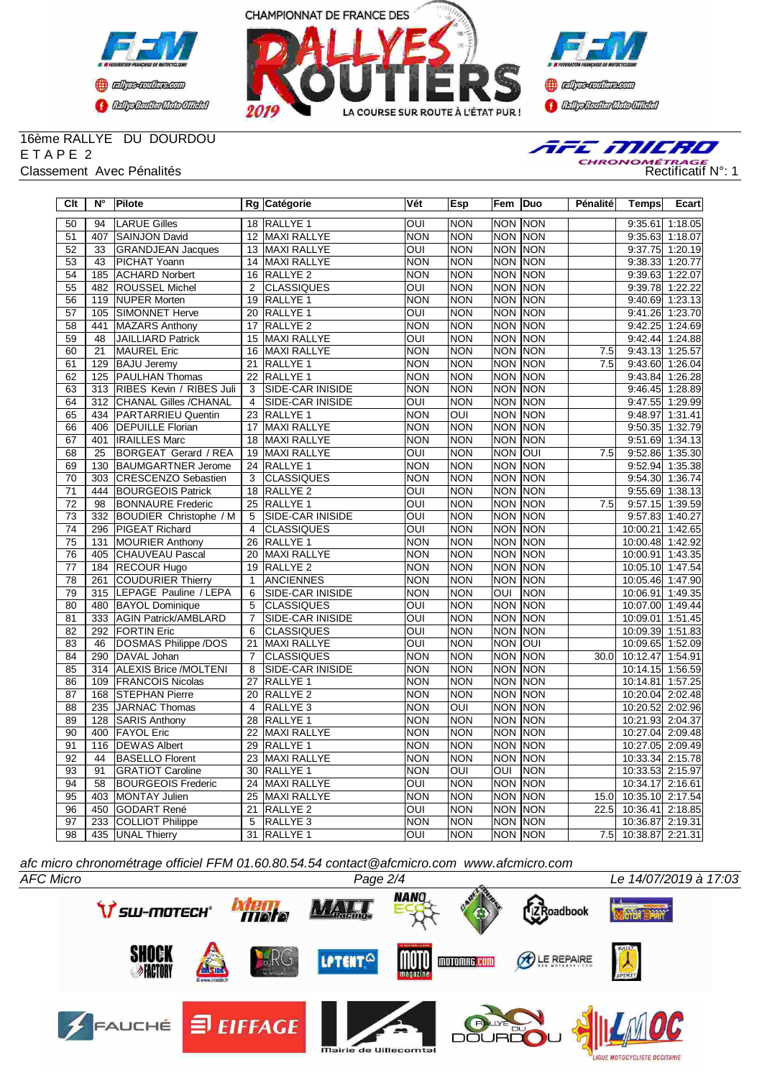





# 16ème RALLYE DU DOURDOU E T A P E 2



| $\overline{C}$ It | $N^{\circ}$      | Pilote                       |                 | Rg Catégorie            | Vét                     | Esp                     | Fem            | <b>Duo</b>  | Pénalité | <b>Temps</b>     | <b>Ecart</b>    |
|-------------------|------------------|------------------------------|-----------------|-------------------------|-------------------------|-------------------------|----------------|-------------|----------|------------------|-----------------|
| 50                | 94               | <b>LARUE Gilles</b>          |                 | 18 RALLYE 1             | OUI                     | <b>NON</b>              | <b>NON</b>     | <b>NON</b>  |          | 9:35.61          | 1:18.05         |
| 51                | 407              | SAINJON David                |                 | 12 MAXI RALLYE          | NON                     | <b>NON</b>              | <b>NON</b>     | NON         |          |                  | 9:35.63 1:18.07 |
| 52                | $\overline{33}$  | <b>GRANDJEAN Jacques</b>     |                 | 13 MAXI RALLYE          | OUI                     | <b>NON</b>              | <b>NON</b>     | <b>NON</b>  |          | 9:37.75          | 1:20.19         |
| 53                | 43               | PICHAT Yoann                 | 14              | <b>MAXI RALLYE</b>      | <b>NON</b>              | <b>NON</b>              | <b>NON</b>     | <b>NON</b>  |          | 9:38.33          | 1:20.77         |
| $\overline{54}$   | 185              | <b>ACHARD Norbert</b>        | 16              | <b>RALLYE 2</b>         | <b>NON</b>              | <b>NON</b>              | <b>NON</b>     | <b>NON</b>  |          | 9:39.63          | 1:22.07         |
| $\overline{55}$   | 482              | <b>ROUSSEL Michel</b>        | $\overline{2}$  | <b>CLASSIQUES</b>       | OUI                     | <b>NON</b>              | <b>NON</b>     | <b>NON</b>  |          | 9:39.78          | 1:22.22         |
| 56                | 119              | <b>NUPER Morten</b>          |                 | 19 RALLYE 1             | NON                     | <b>NON</b>              | <b>NON</b>     | <b>NON</b>  |          | 9:40.69          | 1:23.13         |
| 57                | 105              | <b>SIMONNET Herve</b>        | 20              | RALLYE 1                | OUI                     | <b>NON</b>              | <b>NON</b>     | <b>NON</b>  |          | 9:41.26          | 1:23.70         |
| $\overline{58}$   | 441              | MAZARS Anthony               | 17              | RALLYE <sub>2</sub>     | NON                     | <b>NON</b>              | <b>NON</b>     | <b>NON</b>  |          | 9:42.25          | 1:24.69         |
| 59                | 48               | <b>JAILLIARD Patrick</b>     | 15              | MAXI RALLYE             | OUI                     | <b>NON</b>              | <b>NON</b>     | <b>NON</b>  |          | 9:42.44          | 1:24.88         |
| 60                | 21               | <b>MAUREL Eric</b>           | 16              | <b>MAXI RALLYE</b>      | <b>NON</b>              | <b>NON</b>              | <b>NON</b>     | <b>NON</b>  | 7.5      | 9:43.13          | 1:25.57         |
| 61                | 129              | <b>BAJU Jeremy</b>           | 21              | RALLYE 1                | NON                     | <b>NON</b>              | <b>NON</b>     | <b>NON</b>  | 7.5      | 9:43.60          | 1:26.04         |
| 62                | 125              | <b>PAULHAN Thomas</b>        | 22              | RALLYE 1                | <b>NON</b>              | <b>NON</b>              | <b>NON</b>     | <b>NON</b>  |          | 9:43.84          | 1:26.28         |
| 63                | 313              | RIBES Kevin / RIBES Juli     | 3               | <b>SIDE-CAR INISIDE</b> | <b>NON</b>              | <b>NON</b>              | <b>NON</b>     | <b>NON</b>  |          | 9:46.45          | 1:28.89         |
| 64                | $\overline{312}$ | <b>CHANAL Gilles /CHANAL</b> | $\overline{4}$  | <b>SIDE-CAR INISIDE</b> | OUI                     | <b>NON</b>              | <b>NON NON</b> |             |          | 9:47.55          | 1:29.99         |
| 65                | 434              | PARTARRIEU Quentin           | 23              | RALLYE <sub>1</sub>     | <b>NON</b>              | OUI                     | <b>NON</b>     | <b>NON</b>  |          | 9:48.97          | 1:31.41         |
| 66                | 406              | <b>DEPUILLE Florian</b>      | 17              | MAXI RALLYE             | <b>NON</b>              | <b>NON</b>              | <b>NON</b>     | <b>NON</b>  |          | 9:50.35          | 1:32.79         |
| 67                | 401              | <b>IRAILLES Marc</b>         | 18              | MAXI RALLYE             | <b>NON</b>              | <b>NON</b>              | <b>NON</b>     | <b>NON</b>  |          | 9:51.69          | 1:34.13         |
| 68                | $\overline{25}$  | <b>BORGEAT Gerard / REA</b>  | 19              | <b>MAXI RALLYE</b>      | OUI                     | <b>NON</b>              | <b>NON</b>     | loui        | 7.5      | 9:52.86          | 1:35.30         |
| 69                | 130              | <b>BAUMGARTNER Jerome</b>    | 24              | RALLYE 1                | <b>NON</b>              | <b>NON</b>              | <b>NON</b>     | <b>NON</b>  |          | 9:52.94          | 1:35.38         |
| $\overline{70}$   | 303              | <b>CRESCENZO Sebastien</b>   | 3               | <b>CLASSIQUES</b>       | <b>NON</b>              | <b>NON</b>              | <b>NON</b>     | <b>NON</b>  |          | 9:54.30          | 1:36.74         |
| $\overline{71}$   | 444              | <b>BOURGEOIS Patrick</b>     | 18              | <b>RALLYE 2</b>         | OUI                     | <b>NON</b>              | <b>NON</b>     | <b>NON</b>  |          | 9:55.69          | 1:38.13         |
| $\overline{72}$   | 98               | <b>BONNAURE</b> Frederic     | $\overline{25}$ | RALLYE <sub>1</sub>     | OUI                     | <b>NON</b>              | <b>NON</b>     | <b>NON</b>  | 7.5      | 9:57.15          | 1:39.59         |
| $\overline{73}$   | 332              | BOUDIER Christophe / M       | $\overline{5}$  | SIDE-CAR INISIDE        | $\overline{\text{OUI}}$ | <b>NON</b>              | <b>NON</b>     | <b>NON</b>  |          | 9:57.83          | 1:40.27         |
| $\overline{74}$   | 296              | <b>PIGEAT Richard</b>        | $\overline{4}$  | <b>CLASSIQUES</b>       | oui                     | <b>NON</b>              | <b>NON</b>     | <b>NON</b>  |          | 10:00.21         | 1:42.65         |
| $\overline{75}$   | 131              | <b>MOURIER Anthony</b>       | 26              | RALLYE 1                | <b>NON</b>              | <b>NON</b>              | <b>NON</b>     | <b>NON</b>  |          | 10:00.48 1:42.92 |                 |
| 76                | 405              | <b>CHAUVEAU Pascal</b>       | $\overline{20}$ | <b>MAXI RALLYE</b>      | $\overline{NON}$        | <b>NON</b>              | <b>NON</b>     | <b>NON</b>  |          | 10:00.91 1:43.35 |                 |
| 77                | 184              | <b>RECOUR Hugo</b>           | 19              | RALLYE <sub>2</sub>     | <b>NON</b>              | <b>NON</b>              | <b>NON</b>     | <b>NON</b>  |          | 10:05.10         | 1:47.54         |
| 78                | 261              | <b>COUDURIER Thierry</b>     | $\mathbf{1}$    | <b>ANCIENNES</b>        | <b>NON</b>              | <b>NON</b>              | <b>NON</b>     | <b>NON</b>  |          | 10:05.46         | 1:47.90         |
| 79                | 315              | LEPAGE Pauline / LEPA        | 6               | <b>SIDE-CAR INISIDE</b> | <b>NON</b>              | <b>NON</b>              | OUI            | <b>NON</b>  |          | 10:06.91         | 1:49.35         |
| 80                | 480              | <b>BAYOL Dominique</b>       | $\overline{5}$  | <b>CLASSIQUES</b>       | ОUІ                     | <b>NON</b>              | <b>NON</b>     | <b>NON</b>  |          | 10:07.00         | 1:49.44         |
| 81                | 333              | <b>AGIN Patrick/AMBLARD</b>  | $\overline{7}$  | SIDE-CAR INISIDE        | OUI                     | <b>NON</b>              | NON NON        |             |          | 10:09.01         | 1:51.45         |
| 82                | 292              | <b>FORTIN Eric</b>           | $\overline{6}$  | <b>CLASSIQUES</b>       | oui                     | <b>NON</b>              | <b>NON</b>     | <b>NON</b>  |          | 10:09.39         | 1:51.83         |
| 83                | 46               | DOSMAS Philippe /DOS         | $\overline{21}$ | <b>MAXI RALLYE</b>      | OUI                     | <b>NON</b>              | <b>NON</b>     | loui        |          | 10:09.65         | 1:52.09         |
| 84                | 290              | DAVAL Johan                  | $\overline{7}$  | <b>CLASSIQUES</b>       | $\overline{NON}$        | <b>NON</b>              | <b>NON</b>     | <b>NON</b>  | 30.0     | 10:12.47         | 1:54.91         |
| 85                | 314              | <b>ALEXIS Brice /MOLTENI</b> | $\overline{8}$  | <b>SIDE-CAR INISIDE</b> | $\overline{NON}$        | <b>NON</b>              | <b>NON</b>     | NON         |          | 10:14.15         | 1:56.59         |
| 86                | 109              | <b>FRANCOIS Nicolas</b>      | $\overline{27}$ | <b>RALLYE 1</b>         | <b>NON</b>              | <b>NON</b>              | <b>NON</b>     | <b>NON</b>  |          | 10:14.81         | 1:57.25         |
| 87                | 168              | <b>ISTEPHAN Pierre</b>       | 20              | RALLYE <sub>2</sub>     | <b>NON</b>              | <b>NON</b>              | <b>NON</b>     | <b>INON</b> |          | 10:20.04         | 2:02.48         |
| 88                | 235              | JARNAC Thomas                | $\overline{4}$  | RALLYE 3                | NON                     | $\overline{\text{OUI}}$ | <b>NON</b>     | <b>NON</b>  |          | 10:20.52         | 2:02.96         |
| 89                | 128              | SARIS Anthony                | 28              | RALLYE 1                | <b>NON</b>              | <b>NON</b>              | <b>NON</b>     | <b>NON</b>  |          | 10:21.93         | 2:04.37         |
| 90                | 400              | <b>FAYOL Eric</b>            | $\overline{22}$ | <b>MAXI RALLYE</b>      | NON                     | <b>NON</b>              | <b>NON NON</b> |             |          | 10:27.04 2:09.48 |                 |
| 91                | 116              | <b>DEWAS Albert</b>          | 29              | RALLYE <sub>1</sub>     | <b>NON</b>              | <b>NON</b>              | <b>NON</b>     | NON         |          | 10:27.05 2:09.49 |                 |
| 92                | 44               | <b>BASELLO Florent</b>       | $\overline{23}$ | MAXI RALLYE             | <b>NON</b>              | <b>NON</b>              | <b>NON</b>     | <b>NON</b>  |          | 10:33.34         | 2:15.78         |
| 93                | $\overline{91}$  | <b>GRATIOT Caroline</b>      | $\overline{30}$ | <b>RALLYE 1</b>         | <b>NON</b>              | $\overline{O}$          | OUI            | <b>NON</b>  |          | 10:33.53 2:15.97 |                 |
| 94                | 58               | <b>BOURGEOIS Frederic</b>    | $\overline{24}$ | MAXI RALLYE             | $\overline{\text{out}}$ | <b>NON</b>              | <b>NON</b>     | <b>NON</b>  |          | 10:34.17 2:16.61 |                 |
| 95                | 403              | MONTAY Julien                | $\overline{25}$ | MAXI RALLYE             | $\overline{NON}$        | <b>NON</b>              | <b>NON</b>     | NON         | 15.0     | 10:35.10 2:17.54 |                 |
| 96                | 450              | GODART René                  | 21              | RALLYE <sub>2</sub>     | OUI                     | <b>NON</b>              | <b>NON</b>     | <b>NON</b>  | 22.5     | 10:36.41         | 2:18.85         |
| 97                | 233              | COLLIOT Philippe             | 5               | RALLYE <sub>3</sub>     | <b>NON</b>              | <b>NON</b>              | <b>NON</b>     | <b>NON</b>  |          | 10:36.87         | 2:19.31         |
| 98                |                  | 435 UNAL Thierry             |                 | 31 RALLYE 1             | OUI                     | <b>NON</b>              | <b>NON NON</b> |             | 7.5      | 10:38.87 2:21.31 |                 |

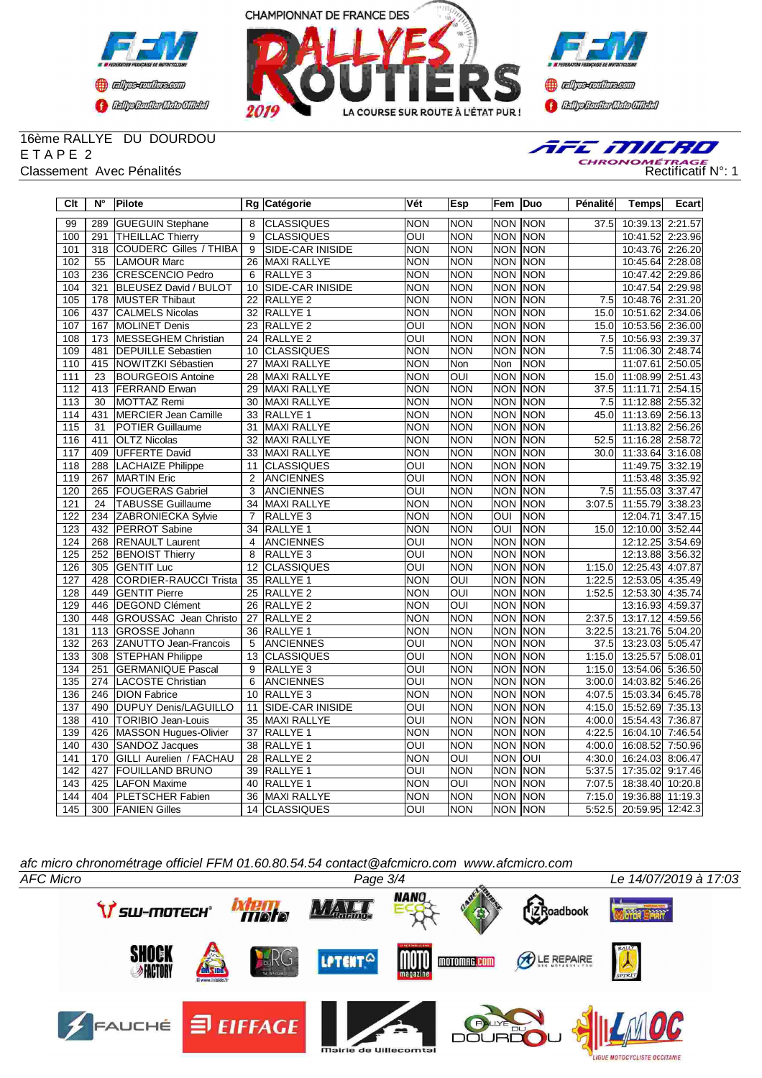



**Confederation Complementation** 

## 16ème RALLYE DU DOURDOU E T A P E 2



| Clt              | $N^{\circ}$     | Pilote                         |                 | Rg Catégorie            | Vét                     | Esp                     | Fem                     | Duo         | Pénalité | <b>Temps</b>            | Ecart   |
|------------------|-----------------|--------------------------------|-----------------|-------------------------|-------------------------|-------------------------|-------------------------|-------------|----------|-------------------------|---------|
| 99               | 289             | <b>GUEGUIN Stephane</b>        | 8               | <b>CLASSIQUES</b>       | <b>NON</b>              | <b>NON</b>              | <b>NON</b>              | <b>NON</b>  | 37.5     | 10:39.13 2:21.57        |         |
| 100              | 291             | <b>THEILLAC Thierry</b>        | 9               | <b>CLASSIQUES</b>       | OUI                     | <b>NON</b>              | NON NON                 |             |          | 10:41.52                | 2:23.96 |
| 101              | 318             | COUDERC Gilles / THIBA         | 9               | <b>SIDE-CAR INISIDE</b> | <b>NON</b>              | <b>NON</b>              | <b>NON NON</b>          |             |          | 10:43.76 2:26.20        |         |
| 102              | 55              | <b>LAMOUR Marc</b>             | 26              | <b>MAXI RALLYE</b>      | <b>NON</b>              | <b>NON</b>              | <b>NON NON</b>          |             |          | 10:45.64 2:28.08        |         |
| 103              | 236             | CRESCENCIO Pedro               | 6               | RALLYE 3                | <b>NON</b>              | <b>NON</b>              | <b>NON NON</b>          |             |          | 10:47.42 2:29.86        |         |
| 104              | 321             | <b>BLEUSEZ David / BULOT</b>   | 10              | <b>SIDE-CAR INISIDE</b> | <b>NON</b>              | <b>NON</b>              | <b>NON</b>              | <b>NON</b>  |          | 10:47.54 2:29.98        |         |
| 105              | 178             | <b>MUSTER Thibaut</b>          | 22              | RALLYE 2                | <b>NON</b>              | <b>NON</b>              | <b>NON</b>              | <b>NON</b>  | 7.5      | 10:48.76 2:31.20        |         |
| 106              | 437             | CALMELS Nicolas                | 32              | RALLYE 1                | <b>NON</b>              | <b>NON</b>              | <b>NON</b>              | <b>NON</b>  | 15.0     | 10:51.62                | 2:34.06 |
| 107              | 167             | MOLINET Denis                  | 23              | RALLYE <sub>2</sub>     | OUI                     | <b>NON</b>              | <b>NON NON</b>          |             | 15.0     | 10:53.56 2:36.00        |         |
| 108              | 173             | MESSEGHEM Christian            | $\overline{24}$ | RALLYE <sub>2</sub>     | OUI                     | <b>NON</b>              | <b>NON</b>              | <b>NON</b>  | 7.5      | 10:56.93 2:39.37        |         |
| 109              | 481             | <b>DEPUILLE Sebastien</b>      | 10              | <b>CLASSIQUES</b>       | <b>NON</b>              | <b>NON</b>              | <b>NON</b>              | <b>INON</b> | 7.5      | 11:06.30 2:48.74        |         |
| 110              | 415             | NOWITZKI Sébastien             | $\overline{27}$ | <b>MAXI RALLYE</b>      | <b>NON</b>              | Non                     | Non                     | <b>NON</b>  |          | 11:07.61                | 2:50.05 |
| 111              | $\overline{23}$ | <b>BOURGEOIS Antoine</b>       | 28              | MAXI RALLYE             | <b>NON</b>              | $\overline{O}$          | <b>NON</b>              | <b>NON</b>  | 15.0     | 11:08.99 2:51.43        |         |
| $\overline{112}$ | 413             | <b>FERRAND Erwan</b>           | 29              | <b>MAXI RALLYE</b>      | <b>NON</b>              | <b>NON</b>              | <b>NON</b>              | <b>NON</b>  | 37.5     | 11:11.71                | 2:54.15 |
| $\overline{113}$ | $\overline{30}$ | MOTTAZ Remi                    | $\overline{30}$ | <b>MAXI RALLYE</b>      | <b>NON</b>              | <b>NON</b>              | <b>NON</b>              | <b>NON</b>  | 7.5      | 11:12.88 2:55.32        |         |
| 114              | 431             | MERCIER Jean Camille           | 33              | RALLYE 1                | <b>NON</b>              | <b>NON</b>              | <b>NON</b>              | <b>NON</b>  | 45.0     | 11:13.69 2:56.13        |         |
| $\overline{115}$ | $\overline{31}$ | <b>POTIER Guillaume</b>        | $\overline{31}$ | MAXI RALLYE             | <b>NON</b>              | <b>NON</b>              | <b>NON NON</b>          |             |          | 11:13.82                | 2:56.26 |
| 116              | 411             | <b>OLTZ Nicolas</b>            | 32              | MAXI RALLYE             | <b>NON</b>              | <b>NON</b>              | <b>NON</b>              | <b>NON</b>  | 52.5     | 11:16.28 2:58.72        |         |
| 117              | 409             | <b>UFFERTE David</b>           | $\overline{33}$ | MAXI RALLYE             | <b>NON</b>              | <b>NON</b>              | <b>NON</b>              | <b>NON</b>  | 30.0     | 11:33.64 3:16.08        |         |
| 118              | 288             | <b>LACHAIZE Philippe</b>       | 11              | <b>CLASSIQUES</b>       | OUI                     | <b>NON</b>              | <b>NON</b>              | <b>NON</b>  |          | 11:49.75 3:32.19        |         |
| 119              | 267             | <b>MARTIN Eric</b>             | $\overline{2}$  | <b>ANCIENNES</b>        | OUI                     | <b>NON</b>              | <b>NON</b>              | <b>NON</b>  |          | 11:53.48 3:35.92        |         |
| 120              | 265             | <b>FOUGERAS Gabriel</b>        | 3               | <b>ANCIENNES</b>        | $\overline{\text{OUI}}$ | <b>NON</b>              | <b>NON</b>              | <b>NON</b>  | 7.5      | 11:55.03 3:37.47        |         |
| 121              | $\overline{24}$ | <b>TABUSSE Guillaume</b>       | 34              | <b>MAXI RALLYE</b>      | <b>NON</b>              | <b>NON</b>              | <b>NON</b>              | <b>NON</b>  | 3:07.5   | 11:55.79                | 3:38.23 |
| 122              | 234             | <b>ZABRONIECKA Sylvie</b>      | $\overline{7}$  | RALLYE <sub>3</sub>     | <b>NON</b>              | <b>NON</b>              | $\overline{\text{out}}$ | NON         |          | 12:04.71                | 3:47.15 |
| $\overline{123}$ | 432             | <b>PERROT Sabine</b>           | $\overline{34}$ | RALLYE <sub>1</sub>     | <b>NON</b>              | <b>NON</b>              | $\overline{\text{out}}$ | NON         | 15.0     | 12:10.00 3:52.44        |         |
| 124              | 268             | <b>RENAULT Laurent</b>         | $\overline{4}$  | <b>ANCIENNES</b>        | OUI                     | <b>NON</b>              | NON NON                 |             |          | 12:12.25                | 3:54.69 |
| 125              | 252             | <b>BENOIST Thierry</b>         | 8               | RALLYE 3                | $\overline{\text{out}}$ | <b>NON</b>              | <b>NON</b>              | <b>NON</b>  |          | 12:13.88                | 3:56.32 |
| 126              | 305             | <b>GENTIT Luc</b>              | 12              | <b>CLASSIQUES</b>       | OUI                     | <b>NON</b>              | <b>NON</b>              | <b>NON</b>  | 1:15.0   | 12:25.43                | 4:07.87 |
| 127              | 428             | <b>CORDIER-RAUCCI Trista</b>   | $\overline{35}$ | RALLYE <sub>1</sub>     | <b>NON</b>              | $\overline{\text{OUI}}$ | $\overline{NON}$        | <b>NON</b>  | 1:22.5   | 12:53.05                | 4:35.49 |
| 128              | 449             | <b>GENTIT Pierre</b>           | 25              | RALLYE <sub>2</sub>     | <b>NON</b>              | OUI                     | <b>NON</b>              | <b>NON</b>  | 1:52.5   | 12:53.30 4:35.74        |         |
| 129              | 446             | <b>DEGOND Clément</b>          | $\overline{26}$ | <b>RALLYE 2</b>         | <b>NON</b>              | $\overline{\text{OUI}}$ | <b>NON</b>              | <b>INON</b> |          | 13:16.93 4:59.37        |         |
| 130              | 448             | <b>GROUSSAC</b> Jean Christo   | $\overline{27}$ | RALLYE <sub>2</sub>     | <b>NON</b>              | <b>NON</b>              | <b>NON</b>              | <b>NON</b>  | 2:37.5   | 13:17.12                | 4:59.56 |
| 131              | 113             | <b>GROSSE Johann</b>           | $\overline{36}$ | <b>RALLYE 1</b>         | <b>NON</b>              | <b>NON</b>              | <b>NON</b>              | <b>NON</b>  | 3:22.5   | 13:21.76 5:04.20        |         |
| 132              | 263             | <b>ZANUTTO Jean-Francois</b>   | $\overline{5}$  | ANCIENNES               | $\overline{O}$          | <b>NON</b>              | <b>NON NON</b>          |             | 37.5     | 13:23.03 5:05.47        |         |
| 133              | 308             | <b>STEPHAN Philippe</b>        | 13              | <b>CLASSIQUES</b>       | $\overline{OUI}$        | <b>NON</b>              | <b>NON</b>              | <b>NON</b>  | 1:15.0   | 13:25.57                | 5:08.01 |
| 134              | 251             | <b>GERMANIQUE Pascal</b>       | $\overline{9}$  | RALLYE <sub>3</sub>     | $\overline{\text{OUI}}$ | <b>NON</b>              | <b>NON</b>              | <b>NON</b>  | 1:15.0   | 13:54.06                | 5:36.50 |
| 135              | 274             | LACOSTE Christian              | 6               | <b>ANCIENNES</b>        | $\overline{\text{OUI}}$ | <b>NON</b>              | <b>NON</b>              | <b>NON</b>  | 3:00.0   | 14:03.82                | 5:46.26 |
| 136              | 246             | <b>DION Fabrice</b>            | 10              | RALLYE 3                | <b>NON</b>              | <b>NON</b>              | <b>NON</b>              | <b>NON</b>  | 4:07.5   | 15:03.34                | 6:45.78 |
| 137              | 490             | <b>DUPUY Denis/LAGUILLO</b>    | 11              | <b>SIDE-CAR INISIDE</b> | OUI                     | <b>NON</b>              | <b>NON NON</b>          |             | 4:15.0   | 15:52.69 7:35.13        |         |
| 138              | 410             | TORIBIO Jean-Louis             | 35              | MAXI RALLYE             | OUI                     | <b>NON</b>              | <b>NON</b>              | <b>NON</b>  | 4:00.0   | 15:54.43 7:36.87        |         |
| 139              |                 | 426 MASSON Hugues-Olivier      | 37              | RALLYE 1                | <b>NON</b>              | <b>NON</b>              | <b>NON NON</b>          |             | 4:22.5   | 16:04.10 7:46.54        |         |
| 140              | 430             | SANDOZ Jacques                 | 38              | RALLYE <sub>1</sub>     | OUI                     | <b>NON</b>              | <b>NON</b>              | <b>NON</b>  | 4:00.0   | 16:08.52 7:50.96        |         |
| 141              | 170             | <b>GILLI Aurelien / FACHAU</b> | 28              | RALLYE 2                | <b>NON</b>              | $\overline{OUI}$        | <b>NON</b>              | loui        | 4:30.0   | 16:24.03 8:06.47        |         |
| 142              | 427             | <b>FOUILLAND BRUNO</b>         | 39              | <b>RALLYE 1</b>         | $\overline{\text{OUI}}$ | <b>NON</b>              | <b>NON</b>              | <b>NON</b>  | 5.37.5   | 17:35.02                | 9:17.46 |
| 143              | 425             | <b>LAFON Maxime</b>            | 40              | RALLYE 1                | <b>NON</b>              | $\overline{OUI}$        | <b>NON</b>              | <b>NON</b>  | 7:07.5   | 18:38.40                | 10:20.8 |
| 144              | 404             | <b>PLETSCHER Fabien</b>        | 36              | MAXI RALLYE             | <b>NON</b>              | <b>NON</b>              | <b>NON</b>              | <b>NON</b>  | 7:15.0   | 19:36.88 11:19.3        |         |
| 145              |                 | 300 FANIEN Gilles              |                 | 14 CLASSIQUES           | OUI                     | <b>NON</b>              | NON NON                 |             |          | 5:52.5 20:59.95 12:42.3 |         |